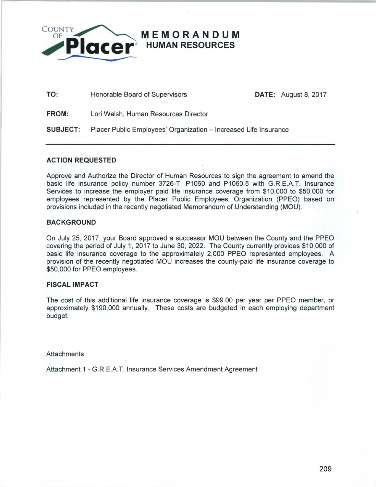

**TO:** Honorable Board of Supervisors

**DATE:** August 8, 2017

**FROM:** Lori Walsh, Human Resources Director

**SUBJECT:** Placer Public Employees' Organization - Increased Life Insurance

## **ACTION REQUESTED**

Approve and Authorize the Director of Human Resources to sign the agreement to amend the basic life insurance policy number 3726-T. P1060 and P1060.5 with G.R.E.A.T. Insurance Services to increase the employer paid life insurance coverage from \$10,000 to \$50,000 for employees represented by the Placer Public Employees' Organization (PPEO) based on provisions included in the recently negotiated Memorandum of Understanding (MOU).

## **BACKGROUND**

On July 25, 2017, your Board approved a successor MOU between the County and the PPEO covering the period of July 1, 2017 to June 30, 2022. The County currently provides \$10,000 of basic life insurance coverage to the approximately 2,000 PPEO represented employees. A provision of the recently negotiated MOU increases the county-paid life insurance coverage to \$50,000 for PPEO employees.

## **FISCAL IMPACT**

The cost of this additional life insurance coverage is \$99.00 per year per PPEO member, or approximately \$190,000 annually. These costs are budgeted in each employing department budget.

**Attachments** 

Attachment 1 - G.R.E.A.T. Insurance Services Amendment Agreement